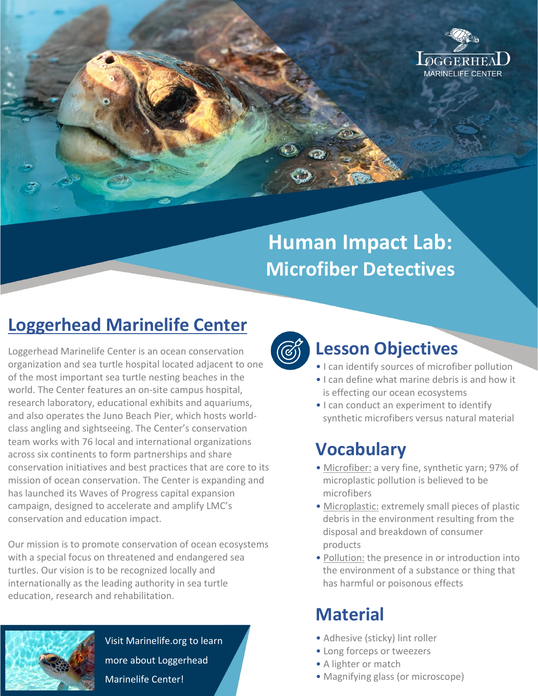

# **Human Impact Lab: Microfiber Detectives**

## **Loggerhead Marinelife Center**

Loggerhead Marinelife Center is an ocean conservation organization and sea turtle hospital located adjacent to one of the most important sea turtle nesting beaches in the world. The Center features an on-site campus hospital, research laboratory, educational exhibits and aquariums, and also operates the Juno Beach Pier, which hosts worldclass angling and sightseeing. The Center's conservation team works with 76 local and international organizations across six continents to form partnerships and share conservation initiatives and best practices that are core to its mission of ocean conservation. The Center is expanding and has launched its Waves of Progress capital expansion campaign, designed to accelerate and amplify LMC's conservation and education impact.

Our mission is to promote conservation of ocean ecosystems with a special focus on threatened and endangered sea turtles. Our vision is to be recognized locally and internationally as the leading authority in sea turtle education, research and rehabilitation.



Visit Marinelife.org to learn more about Loggerhead Marinelife Center!



### **Lesson Objectives**

- I can identify sources of microfiber pollution
- I can define what marine debris is and how it is effecting our ocean ecosystems
- I can conduct an experiment to identify synthetic microfibers versus natural material

### **Vocabulary**

- Microfiber: a very fine, synthetic yarn; 97% of microplastic pollution is believed to be microfibers
- Microplastic: extremely small pieces of plastic debris in the environment resulting from the disposal and breakdown of consumer products
- Pollution: the presence in or introduction into the environment of a substance or thing that has harmful or poisonous effects

### **Material**

- Adhesive (sticky) lint roller
- Long forceps or tweezers
- A lighter or match
- Magnifying glass (or microscope)